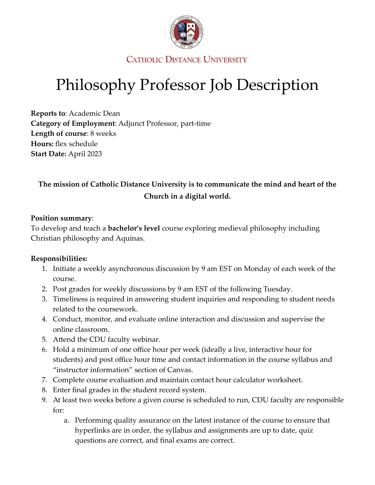

**CATHOLIC DISTANCE UNIVERSITY** 

# Philosophy Professor Job Description

**Reports to**: Academic Dean **Category of Employment**: Adjunct Professor, part-time **Length of course**: 8 weeks **Hours:** flex schedule **Start Date:** April 2023

## **The mission of Catholic Distance University is to communicate the mind and heart of the Church in a digital world.**

#### **Position summary**:

To develop and teach a **bachelor's level** course exploring medieval philosophy including Christian philosophy and Aquinas.

#### **Responsibilities:**

- 1. Initiate a weekly asynchronous discussion by 9 am EST on Monday of each week of the course.
- 2. Post grades for weekly discussions by 9 am EST of the following Tuesday.
- 3. Timeliness is required in answering student inquiries and responding to student needs related to the coursework.
- 4. Conduct, monitor, and evaluate online interaction and discussion and supervise the online classroom.
- 5. Attend the CDU faculty webinar.
- 6. Hold a minimum of one office hour per week (ideally a live, interactive hour for students) and post office hour time and contact information in the course syllabus and "instructor information" section of Canvas.
- 7. Complete course evaluation and maintain contact hour calculator worksheet.
- 8. Enter final grades in the student record system.
- 9. At least two weeks before a given course is scheduled to run, CDU faculty are responsible for:
	- a. Performing quality assurance on the latest instance of the course to ensure that hyperlinks are in order, the syllabus and assignments are up to date, quiz questions are correct, and final exams are correct.